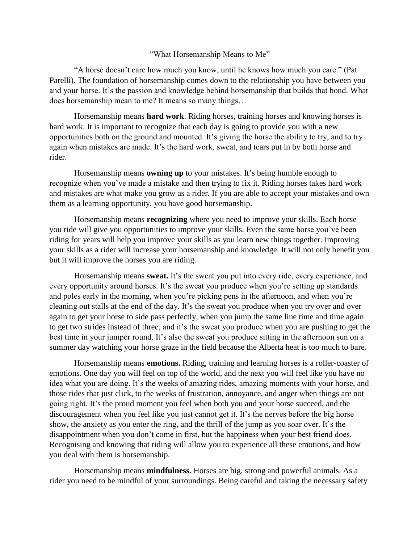## "What Horsemanship Means to Me"

"A horse doesn't care how much you know, until he knows how much you care." (Pat Parelli). The foundation of horsemanship comes down to the relationship you have between you and your horse. It's the passion and knowledge behind horsemanship that builds that bond. What does horsemanship mean to me? It means so many things…

Horsemanship means **hard work**. Riding horses, training horses and knowing horses is hard work. It is important to recognize that each day is going to provide you with a new opportunities both on the ground and mounted. It's giving the horse the ability to try, and to try again when mistakes are made. It's the hard work, sweat, and tears put in by both horse and rider.

Horsemanship means **owning up** to your mistakes. It's being humble enough to recognize when you've made a mistake and then trying to fix it. Riding horses takes hard work and mistakes are what make you grow as a rider. If you are able to accept your mistakes and own them as a learning opportunity, you have good horsemanship.

Horsemanship means **recognizing** where you need to improve your skills. Each horse you ride will give you opportunities to improve your skills. Even the same horse you've been riding for years will help you improve your skills as you learn new things together. Improving your skills as a rider will increase your horsemanship and knowledge. It will not only benefit you but it will improve the horses you are riding.

Horsemanship means **sweat.** It's the sweat you put into every ride, every experience, and every opportunity around horses. It's the sweat you produce when you're setting up standards and poles early in the morning, when you're picking pens in the afternoon, and when you're cleaning out stalls at the end of the day. It's the sweat you produce when you try over and over again to get your horse to side pass perfectly, when you jump the same line time and time again to get two strides instead of three, and it's the sweat you produce when you are pushing to get the best time in your jumper round. It's also the sweat you produce sitting in the afternoon sun on a summer day watching your horse graze in the field because the Alberta heat is too much to bare.

Horsemanship means **emotions.** Riding, training and learning horses is a roller-coaster of emotions. One day you will feel on top of the world, and the next you will feel like you have no idea what you are doing. It's the weeks of amazing rides, amazing moments with your horse, and those rides that just click, to the weeks of frustration, annoyance, and anger when things are not going right. It's the proud moment you feel when both you and your horse succeed, and the discouragement when you feel like you just cannot get it. It's the nerves before the big horse show, the anxiety as you enter the ring, and the thrill of the jump as you soar over. It's the disappointment when you don't come in first, but the happiness when your best friend does. Recognising and knowing that riding will allow you to experience all these emotions, and how you deal with them is horsemanship.

Horsemanship means **mindfulness.** Horses are big, strong and powerful animals. As a rider you need to be mindful of your surroundings. Being careful and taking the necessary safety